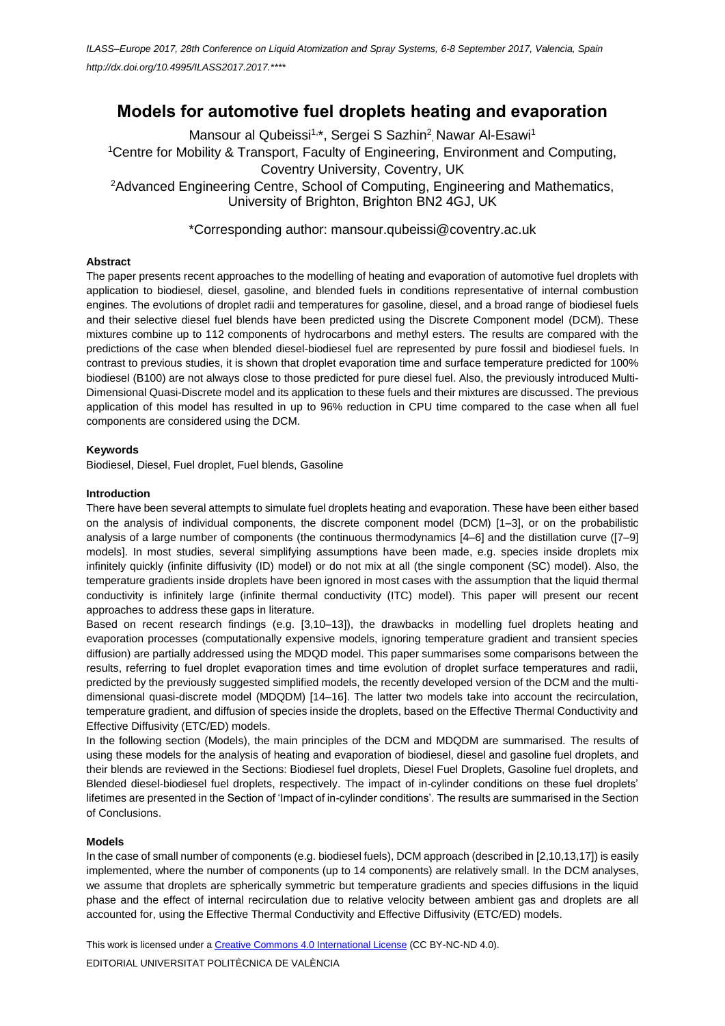# **Models for automotive fuel droplets heating and evaporation**

Mansour al Qubeissi<sup>1,\*</sup>, Sergei S Sazhin<sup>2</sup>, Nawar Al-Esawi<sup>1</sup> <sup>1</sup>Centre for Mobility & Transport, Faculty of Engineering, Environment and Computing, Coventry University, Coventry, UK <sup>2</sup>Advanced Engineering Centre, School of Computing, Engineering and Mathematics,

University of Brighton, Brighton BN2 4GJ, UK

\*Corresponding author: mansour.qubeissi@coventry.ac.uk

## **Abstract**

The paper presents recent approaches to the modelling of heating and evaporation of automotive fuel droplets with application to biodiesel, diesel, gasoline, and blended fuels in conditions representative of internal combustion engines. The evolutions of droplet radii and temperatures for gasoline, diesel, and a broad range of biodiesel fuels and their selective diesel fuel blends have been predicted using the Discrete Component model (DCM). These mixtures combine up to 112 components of hydrocarbons and methyl esters. The results are compared with the predictions of the case when blended diesel-biodiesel fuel are represented by pure fossil and biodiesel fuels. In contrast to previous studies, it is shown that droplet evaporation time and surface temperature predicted for 100% biodiesel (B100) are not always close to those predicted for pure diesel fuel. Also, the previously introduced Multi-Dimensional Quasi-Discrete model and its application to these fuels and their mixtures are discussed. The previous application of this model has resulted in up to 96% reduction in CPU time compared to the case when all fuel components are considered using the DCM.

## **Keywords**

[Biodiesel,](http://www.inderscienceonline.com/keyword/Biodiesel) [Diesel,](http://www.inderscienceonline.com/keyword/Diesel) Fuel droplet, Fuel blends[, Gasoline](http://www.inderscienceonline.com/keyword/Gasoline)

## **Introduction**

There have been several attempts to simulate fuel droplets heating and evaporation. These have been either based on the analysis of individual components, the discrete component model (DCM) [1–3], or on the probabilistic analysis of a large number of components (the continuous thermodynamics [4–6] and the distillation curve ([7–9] models]. In most studies, several simplifying assumptions have been made, e.g. species inside droplets mix infinitely quickly (infinite diffusivity (ID) model) or do not mix at all (the single component (SC) model). Also, the temperature gradients inside droplets have been ignored in most cases with the assumption that the liquid thermal conductivity is infinitely large (infinite thermal conductivity (ITC) model). This paper will present our recent approaches to address these gaps in literature.

Based on recent research findings (e.g. [3,10–13]), the drawbacks in modelling fuel droplets heating and evaporation processes (computationally expensive models, ignoring temperature gradient and transient species diffusion) are partially addressed using the MDQD model. This paper summarises some comparisons between the results, referring to fuel droplet evaporation times and time evolution of droplet surface temperatures and radii, predicted by the previously suggested simplified models, the recently developed version of the DCM and the multidimensional quasi-discrete model (MDQDM) [14–16]. The latter two models take into account the recirculation, temperature gradient, and diffusion of species inside the droplets, based on the Effective Thermal Conductivity and Effective Diffusivity (ETC/ED) models.

In the following section (Models), the main principles of the DCM and MDQDM are summarised. The results of using these models for the analysis of heating and evaporation of biodiesel, diesel and gasoline fuel droplets, and their blends are reviewed in the Sections: Biodiesel fuel droplets, Diesel Fuel Droplets, Gasoline fuel droplets, and Blended diesel-biodiesel fuel droplets, respectively. The impact of in-cylinder conditions on these fuel droplets' lifetimes are presented in the Section of 'Impact of in-cylinder conditions'. The results are summarised in the Section of Conclusions.

## **Models**

In the case of small number of components (e.g. biodiesel fuels), DCM approach (described in [2,10,13,17]) is easily implemented, where the number of components (up to 14 components) are relatively small. In the DCM analyses, we assume that droplets are spherically symmetric but temperature gradients and species diffusions in the liquid phase and the effect of internal recirculation due to relative velocity between ambient gas and droplets are all accounted for, using the Effective Thermal Conductivity and Effective Diffusivity (ETC/ED) models.

This work is licensed under [a Creative Commons 4.0 International License](http://creativecommons.org/licenses/by-nc-nd/4.0/) (CC BY-NC-ND 4.0). EDITORIAL UNIVERSITAT POLITÈCNICA DE VALÈNCIA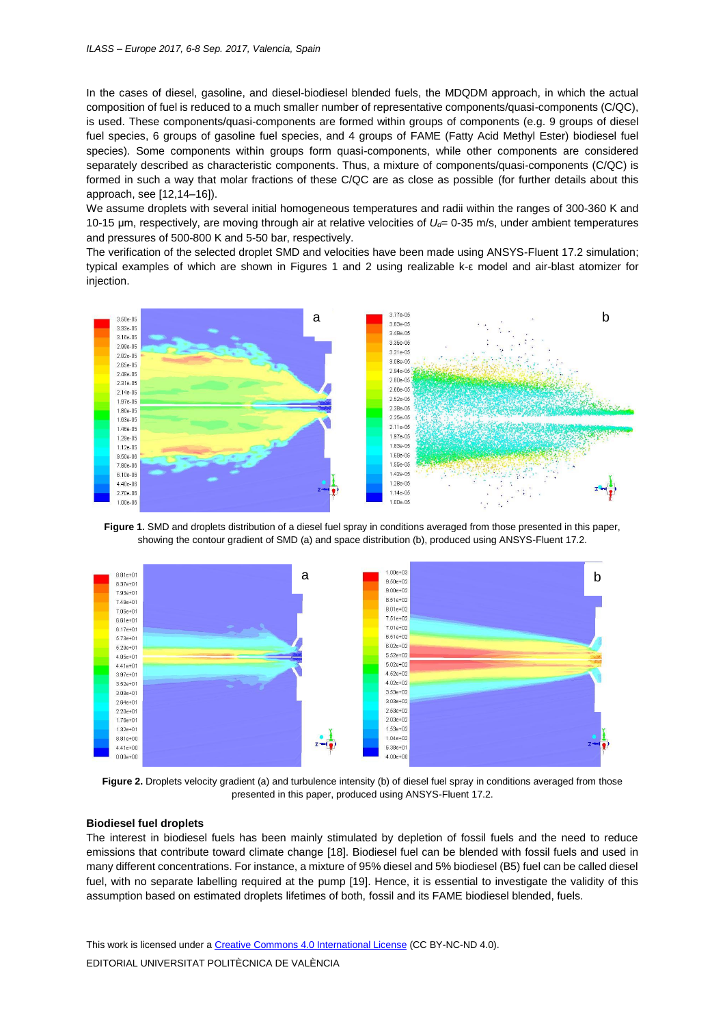In the cases of diesel, gasoline, and diesel-biodiesel blended fuels, the MDQDM approach, in which the actual composition of fuel is reduced to a much smaller number of representative components/quasi-components (C/QC), is used. These components/quasi-components are formed within groups of components (e.g. 9 groups of diesel fuel species, 6 groups of gasoline fuel species, and 4 groups of FAME (Fatty Acid Methyl Ester) biodiesel fuel species). Some components within groups form quasi-components, while other components are considered separately described as characteristic components. Thus, a mixture of components/quasi-components (C/QC) is formed in such a way that molar fractions of these C/QC are as close as possible (for further details about this approach, see [12,14–16]).

We assume droplets with several initial homogeneous temperatures and radii within the ranges of 300-360 K and 10-15 μm, respectively, are moving through air at relative velocities of *Ud*= 0-35 m/s, under ambient temperatures and pressures of 500-800 K and 5-50 bar, respectively.

The verification of the selected droplet SMD and velocities have been made using ANSYS-Fluent 17.2 simulation; typical examples of which are shown in Figures 1 and 2 using realizable k-ε model and air-blast atomizer for injection.



**Figure 1.** SMD and droplets distribution of a diesel fuel spray in conditions averaged from those presented in this paper, showing the contour gradient of SMD (a) and space distribution (b), produced using ANSYS-Fluent 17.2.



**Figure 2.** Droplets velocity gradient (a) and turbulence intensity (b) of diesel fuel spray in conditions averaged from those presented in this paper, produced using ANSYS-Fluent 17.2.

#### **Biodiesel fuel droplets**

The interest in biodiesel fuels has been mainly stimulated by depletion of fossil fuels and the need to reduce emissions that contribute toward climate change [18]. Biodiesel fuel can be blended with fossil fuels and used in many different concentrations. For instance, a mixture of 95% diesel and 5% biodiesel (B5) fuel can be called diesel fuel, with no separate labelling required at the pump [19]. Hence, it is essential to investigate the validity of this assumption based on estimated droplets lifetimes of both, fossil and its FAME biodiesel blended, fuels.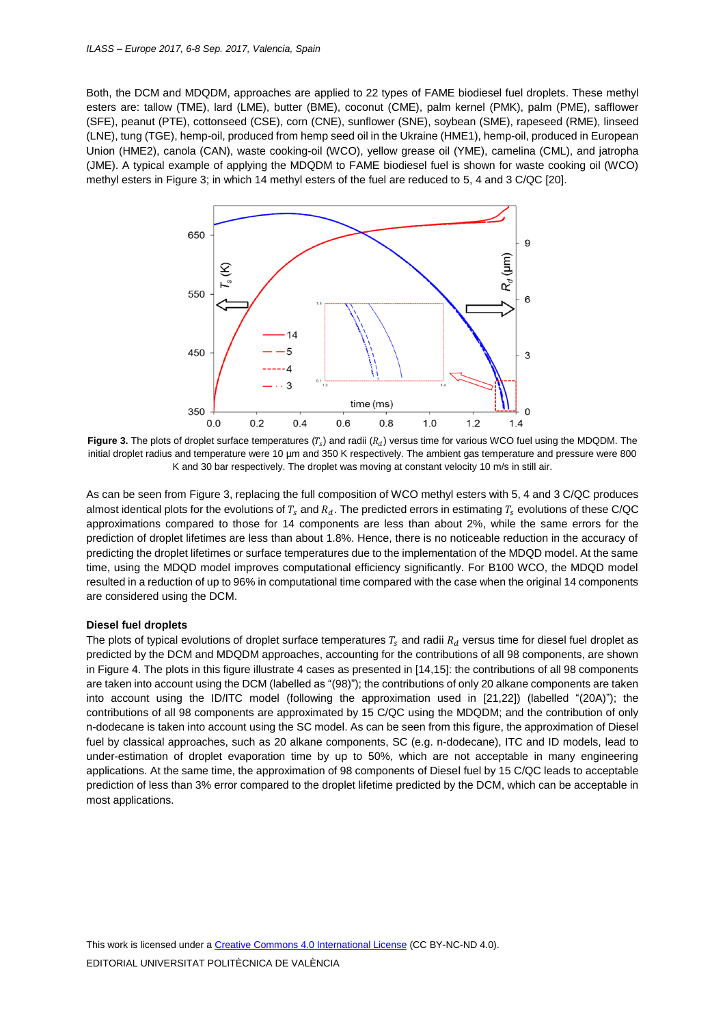Both, the DCM and MDQDM, approaches are applied to 22 types of FAME biodiesel fuel droplets. These methyl esters are: tallow (TME), lard (LME), butter (BME), coconut (CME), palm kernel (PMK), palm (PME), safflower (SFE), peanut (PTE), cottonseed (CSE), corn (CNE), sunflower (SNE), soybean (SME), rapeseed (RME), linseed (LNE), tung (TGE), hemp-oil, produced from hemp seed oil in the Ukraine (HME1), hemp-oil, produced in European Union (HME2), canola (CAN), waste cooking-oil (WCO), yellow grease oil (YME), camelina (CML), and jatropha (JME). A typical example of applying the MDQDM to FAME biodiesel fuel is shown for waste cooking oil (WCO) methyl esters in Figure 3; in which 14 methyl esters of the fuel are reduced to 5, 4 and 3 C/QC [20].



**Figure 3.** The plots of droplet surface temperatures ( $T_s$ ) and radii ( $R_d$ ) versus time for various WCO fuel using the MDQDM. The initial droplet radius and temperature were 10 µm and 350 K respectively. The ambient gas temperature and pressure were 800 K and 30 bar respectively. The droplet was moving at constant velocity 10 m/s in still air.

As can be seen from Figure 3, replacing the full composition of WCO methyl esters with 5, 4 and 3 C/QC produces almost identical plots for the evolutions of  $T_s$  and  $R_d$ . The predicted errors in estimating  $T_s$  evolutions of these C/QC approximations compared to those for 14 components are less than about 2%, while the same errors for the prediction of droplet lifetimes are less than about 1.8%. Hence, there is no noticeable reduction in the accuracy of predicting the droplet lifetimes or surface temperatures due to the implementation of the MDQD model. At the same time, using the MDQD model improves computational efficiency significantly. For B100 WCO, the MDQD model resulted in a reduction of up to 96% in computational time compared with the case when the original 14 components are considered using the DCM.

#### **Diesel fuel droplets**

The plots of typical evolutions of droplet surface temperatures  $T_s$  and radii  $R_d$  versus time for diesel fuel droplet as predicted by the DCM and MDQDM approaches, accounting for the contributions of all 98 components, are shown in Figure 4. The plots in this figure illustrate 4 cases as presented in [14,15]: the contributions of all 98 components are taken into account using the DCM (labelled as "(98)"); the contributions of only 20 alkane components are taken into account using the ID/ITC model (following the approximation used in [21,22]) (labelled "(20A)"); the contributions of all 98 components are approximated by 15 C/QC using the MDQDM; and the contribution of only n-dodecane is taken into account using the SC model. As can be seen from this figure, the approximation of Diesel fuel by classical approaches, such as 20 alkane components, SC (e.g. n-dodecane), ITC and ID models, lead to under-estimation of droplet evaporation time by up to 50%, which are not acceptable in many engineering applications. At the same time, the approximation of 98 components of Diesel fuel by 15 C/QC leads to acceptable prediction of less than 3% error compared to the droplet lifetime predicted by the DCM, which can be acceptable in most applications.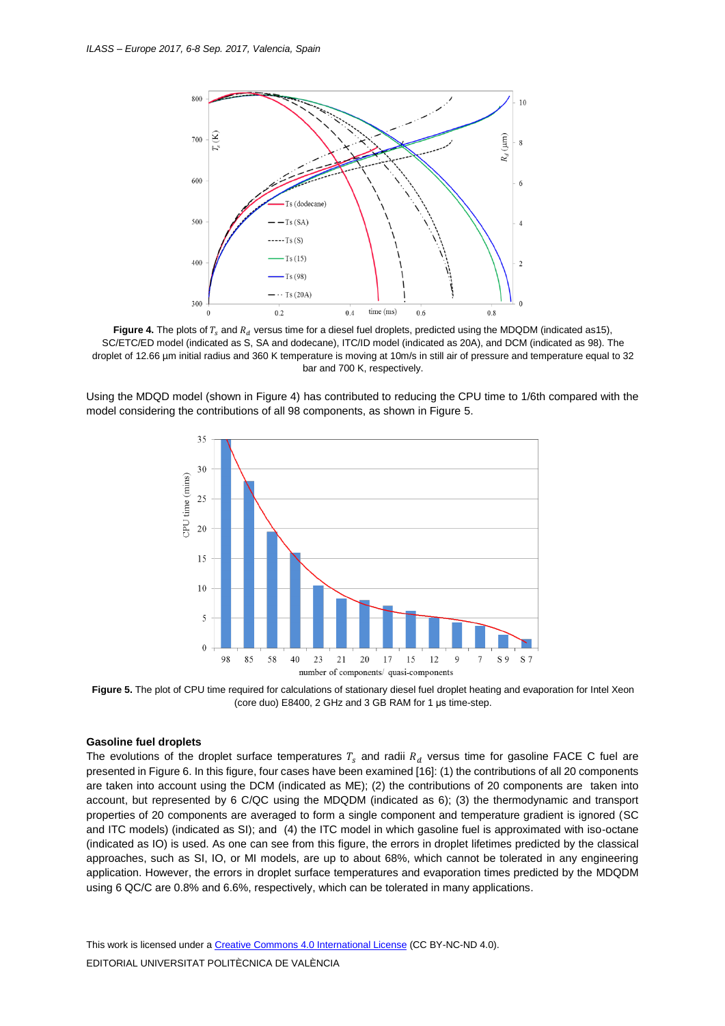

**Figure 4.** The plots of  $T_s$  and  $R_d$  versus time for a diesel fuel droplets, predicted using the MDQDM (indicated as15), SC/ETC/ED model (indicated as S, SA and dodecane), ITC/ID model (indicated as 20A), and DCM (indicated as 98). The droplet of 12.66 µm initial radius and 360 K temperature is moving at 10m/s in still air of pressure and temperature equal to 32 bar and 700 K, respectively.

Using the MDQD model (shown in Figure 4) has contributed to reducing the CPU time to 1/6th compared with the model considering the contributions of all 98 components, as shown in Figure 5.



**Figure 5.** The plot of CPU time required for calculations of stationary diesel fuel droplet heating and evaporation for Intel Xeon (core duo) E8400, 2 GHz and 3 GB RAM for 1 μs time-step.

#### **Gasoline fuel droplets**

The evolutions of the droplet surface temperatures  $T_s$  and radii  $R_d$  versus time for gasoline FACE C fuel are presented in Figure 6. In this figure, four cases have been examined [16]: (1) the contributions of all 20 components are taken into account using the DCM (indicated as ME); (2) the contributions of 20 components are taken into account, but represented by 6 C/QC using the MDQDM (indicated as 6); (3) the thermodynamic and transport properties of 20 components are averaged to form a single component and temperature gradient is ignored (SC and ITC models) (indicated as SI); and (4) the ITC model in which gasoline fuel is approximated with iso-octane (indicated as IO) is used. As one can see from this figure, the errors in droplet lifetimes predicted by the classical approaches, such as SI, IO, or MI models, are up to about 68%, which cannot be tolerated in any engineering application. However, the errors in droplet surface temperatures and evaporation times predicted by the MDQDM using 6 QC/C are 0.8% and 6.6%, respectively, which can be tolerated in many applications.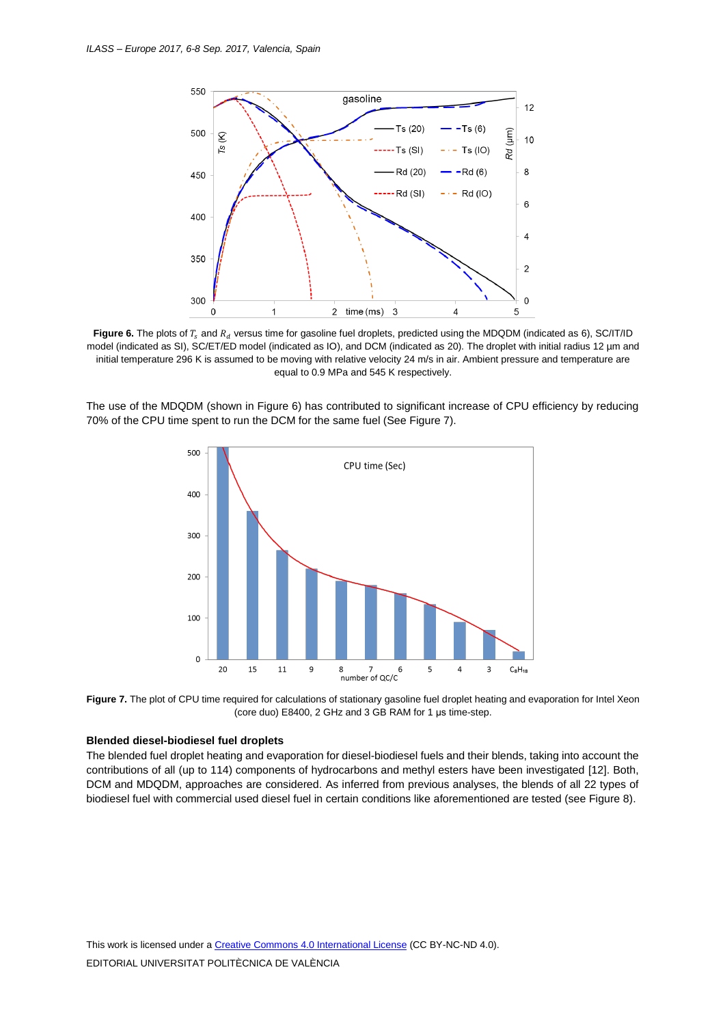

**Figure 6.** The plots of  $T_s$  and  $R_d$  versus time for gasoline fuel droplets, predicted using the MDQDM (indicated as 6), SC/IT/ID model (indicated as SI), SC/ET/ED model (indicated as IO), and DCM (indicated as 20). The droplet with initial radius 12 µm and initial temperature 296 K is assumed to be moving with relative velocity 24 m/s in air. Ambient pressure and temperature are equal to 0.9 MPa and 545 K respectively.

The use of the MDQDM (shown in Figure 6) has contributed to significant increase of CPU efficiency by reducing 70% of the CPU time spent to run the DCM for the same fuel (See Figure 7).



Figure 7. The plot of CPU time required for calculations of stationary gasoline fuel droplet heating and evaporation for Intel Xeon (core duo) E8400, 2 GHz and 3 GB RAM for 1 μs time-step.

#### **Blended diesel-biodiesel fuel droplets**

The blended fuel droplet heating and evaporation for diesel-biodiesel fuels and their blends, taking into account the contributions of all (up to 114) components of hydrocarbons and methyl esters have been investigated [12]. Both, DCM and MDQDM, approaches are considered. As inferred from previous analyses, the blends of all 22 types of biodiesel fuel with commercial used diesel fuel in certain conditions like aforementioned are tested (see Figure 8).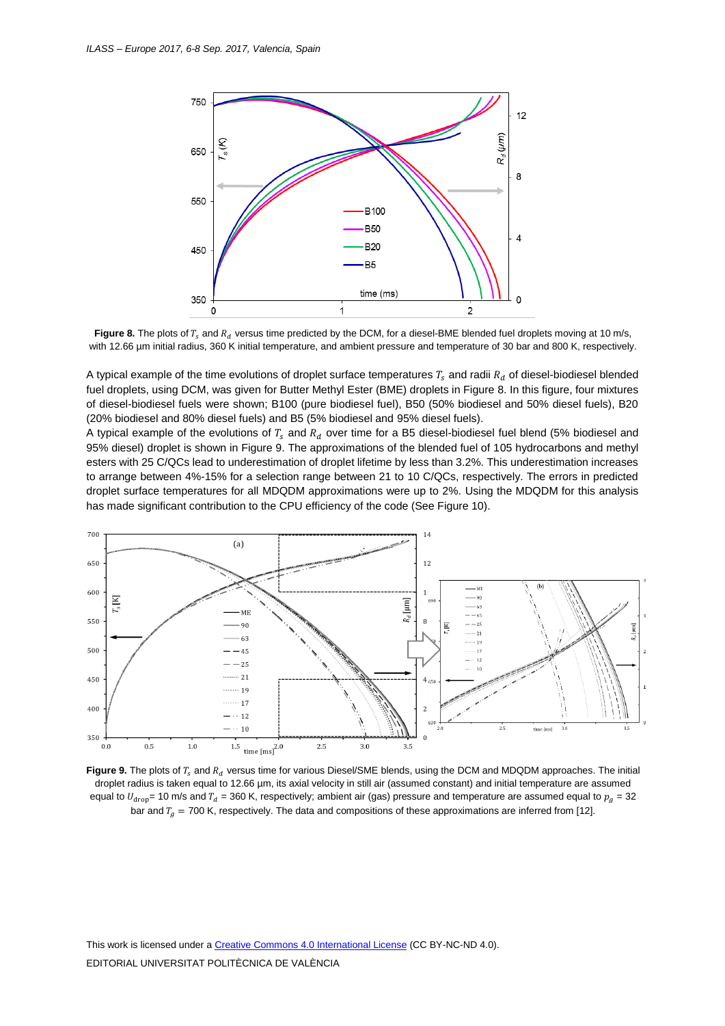



A typical example of the time evolutions of droplet surface temperatures  $T_s$  and radii  $R_d$  of diesel-biodiesel blended fuel droplets, using DCM, was given for Butter Methyl Ester (BME) droplets in Figure 8. In this figure, four mixtures of diesel-biodiesel fuels were shown; B100 (pure biodiesel fuel), B50 (50% biodiesel and 50% diesel fuels), B20 (20% biodiesel and 80% diesel fuels) and B5 (5% biodiesel and 95% diesel fuels).

A typical example of the evolutions of  $T_s$  and  $R_d$  over time for a B5 diesel-biodiesel fuel blend (5% biodiesel and 95% diesel) droplet is shown in Figure 9. The approximations of the blended fuel of 105 hydrocarbons and methyl esters with 25 C/QCs lead to underestimation of droplet lifetime by less than 3.2%. This underestimation increases to arrange between 4%-15% for a selection range between 21 to 10 C/QCs, respectively. The errors in predicted droplet surface temperatures for all MDQDM approximations were up to 2%. Using the MDQDM for this analysis has made significant contribution to the CPU efficiency of the code (See Figure 10).



**Figure 9.** The plots of  $T_c$  and  $R_d$  versus time for various Diesel/SME blends, using the DCM and MDQDM approaches. The initial droplet radius is taken equal to 12.66 µm, its axial velocity in still air (assumed constant) and initial temperature are assumed equal to  $U_{drop}$  = 10 m/s and  $T_d$  = 360 K, respectively; ambient air (gas) pressure and temperature are assumed equal to  $p_q$  = 32 bar and  $T_a$  = 700 K, respectively. The data and compositions of these approximations are inferred from [12].

This work is licensed under [a Creative Commons 4.0 International License](http://creativecommons.org/licenses/by-nc-nd/4.0/) (CC BY-NC-ND 4.0). EDITORIAL UNIVERSITAT POLITÈCNICA DE VALÈNCIA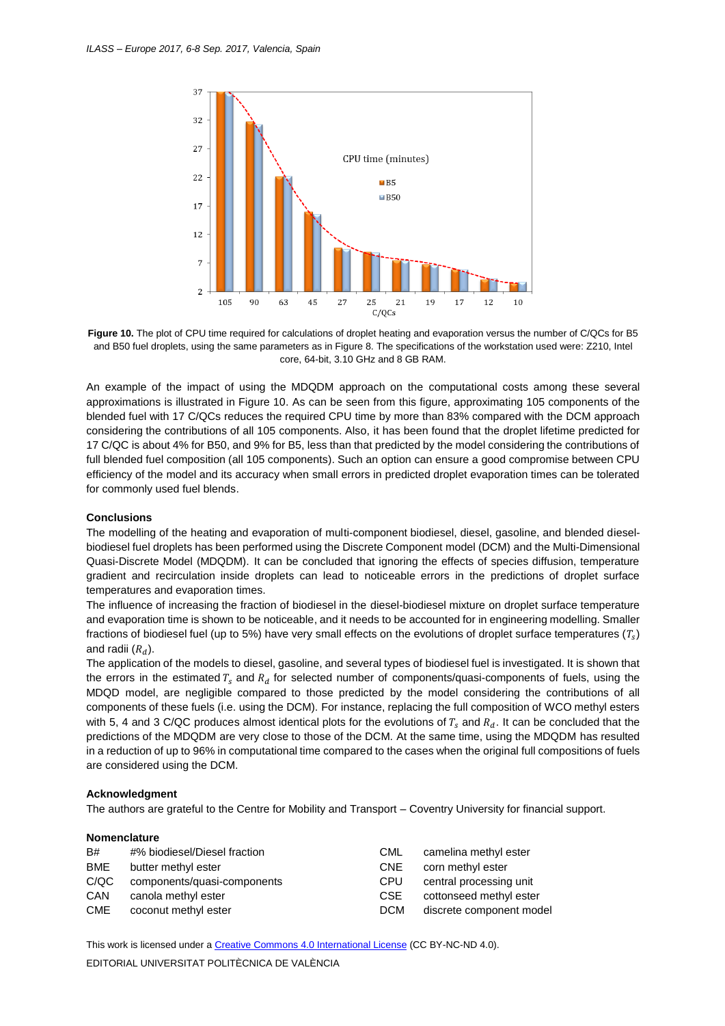

**Figure 10.** The plot of CPU time required for calculations of droplet heating and evaporation versus the number of C/QCs for B5 and B50 fuel droplets, using the same parameters as in Figure 8. The specifications of the workstation used were: Z210, Intel core, 64-bit, 3.10 GHz and 8 GB RAM.

An example of the impact of using the MDQDM approach on the computational costs among these several approximations is illustrated in Figure 10. As can be seen from this figure, approximating 105 components of the blended fuel with 17 C/QCs reduces the required CPU time by more than 83% compared with the DCM approach considering the contributions of all 105 components. Also, it has been found that the droplet lifetime predicted for 17 C/QC is about 4% for B50, and 9% for B5, less than that predicted by the model considering the contributions of full blended fuel composition (all 105 components). Such an option can ensure a good compromise between CPU efficiency of the model and its accuracy when small errors in predicted droplet evaporation times can be tolerated for commonly used fuel blends.

#### **Conclusions**

The modelling of the heating and evaporation of multi-component biodiesel, diesel, gasoline, and blended dieselbiodiesel fuel droplets has been performed using the Discrete Component model (DCM) and the Multi-Dimensional Quasi-Discrete Model (MDQDM). It can be concluded that ignoring the effects of species diffusion, temperature gradient and recirculation inside droplets can lead to noticeable errors in the predictions of droplet surface temperatures and evaporation times.

The influence of increasing the fraction of biodiesel in the diesel-biodiesel mixture on droplet surface temperature and evaporation time is shown to be noticeable, and it needs to be accounted for in engineering modelling. Smaller fractions of biodiesel fuel (up to 5%) have very small effects on the evolutions of droplet surface temperatures ( $T_{\rm s}$ ) and radii  $(R_d)$ .

The application of the models to diesel, gasoline, and several types of biodiesel fuel is investigated. It is shown that the errors in the estimated  $T_s$  and  $R_d$  for selected number of components/quasi-components of fuels, using the MDQD model, are negligible compared to those predicted by the model considering the contributions of all components of these fuels (i.e. using the DCM). For instance, replacing the full composition of WCO methyl esters with 5, 4 and 3 C/QC produces almost identical plots for the evolutions of  $T_s$  and  $R_d$ . It can be concluded that the predictions of the MDQDM are very close to those of the DCM. At the same time, using the MDQDM has resulted in a reduction of up to 96% in computational time compared to the cases when the original full compositions of fuels are considered using the DCM.

#### **Acknowledgment**

The authors are grateful to the Centre for Mobility and Transport – Coventry University for financial support.

### **Nomenclature**

| B#<br><b>BME</b><br>C/QC | #% biodiesel/Diesel fraction<br>butter methyl ester<br>components/quasi-components | <b>CML</b><br><b>CNE</b><br><b>CPU</b> | camelina methyl ester<br>corn methyl ester<br>central processing unit |
|--------------------------|------------------------------------------------------------------------------------|----------------------------------------|-----------------------------------------------------------------------|
| <b>CAN</b>               | canola methyl ester                                                                | <b>CSE</b>                             | cottonseed methyl ester                                               |
| <b>CME</b>               | coconut methyl ester                                                               | <b>DCM</b>                             | discrete component model                                              |

This work is licensed under [a Creative Commons 4.0 International License](http://creativecommons.org/licenses/by-nc-nd/4.0/) (CC BY-NC-ND 4.0). EDITORIAL UNIVERSITAT POLITÈCNICA DE VALÈNCIA